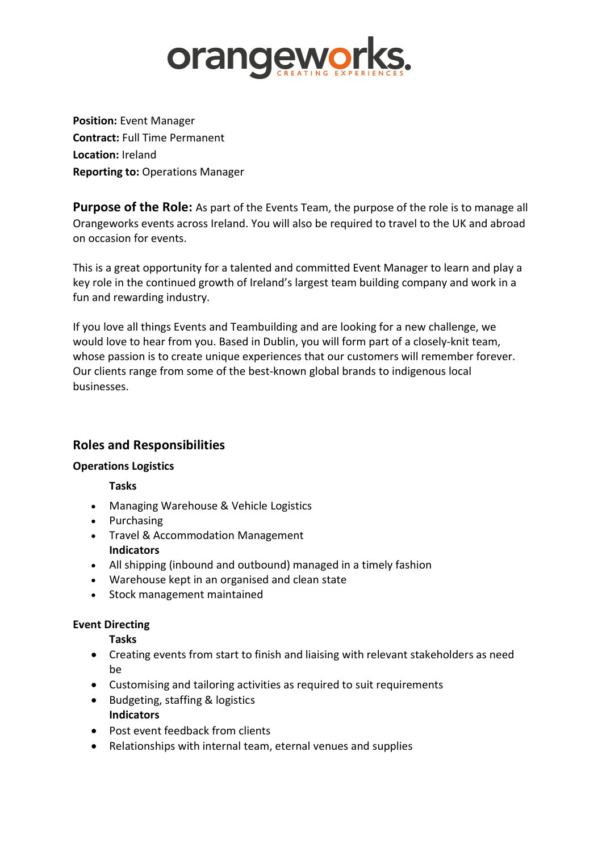

**Position:** Event Manager **Contract:** Full Time Permanent **Location:** Ireland **Reporting to:** Operations Manager

**Purpose of the Role:** As part of the Events Team, the purpose of the role is to manage all Orangeworks events across Ireland. You will also be required to travel to the UK and abroad on occasion for events.

This is a great opportunity for a talented and committed Event Manager to learn and play a key role in the continued growth of Ireland's largest team building company and work in a fun and rewarding industry.

If you love all things Events and Teambuilding and are looking for a new challenge, we would love to hear from you. Based in Dublin, you will form part of a closely-knit team, whose passion is to create unique experiences that our customers will remember forever. Our clients range from some of the best-known global brands to indigenous local businesses.

# **Roles and Responsibilities**

#### **Operations Logistics**

**Tasks**

- Managing Warehouse & Vehicle Logistics
- Purchasing
- Travel & Accommodation Management **Indicators**
- All shipping (inbound and outbound) managed in a timely fashion
- Warehouse kept in an organised and clean state
- Stock management maintained

## **Event Directing**

**Tasks**

- Creating events from start to finish and liaising with relevant stakeholders as need be
- Customising and tailoring activities as required to suit requirements
- Budgeting, staffing & logistics **Indicators**
- Post event feedback from clients
- Relationships with internal team, eternal venues and supplies